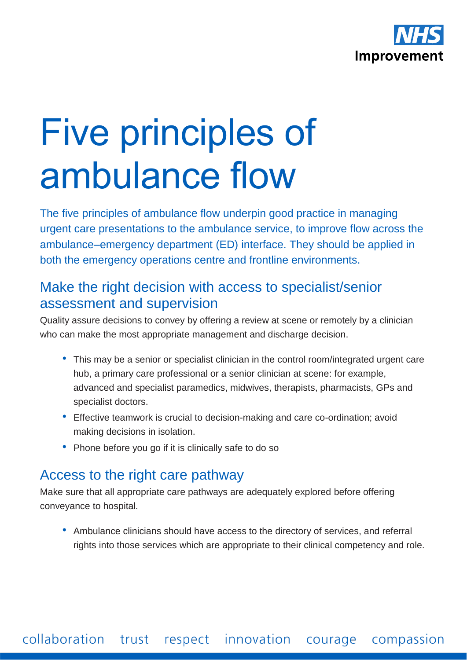

# Five principles of ambulance flow

The five principles of ambulance flow underpin good practice in managing urgent care presentations to the ambulance service, to improve flow across the ambulance–emergency department (ED) interface. They should be applied in both the emergency operations centre and frontline environments.

#### Make the right decision with access to specialist/senior assessment and supervision

Quality assure decisions to convey by offering a review at scene or remotely by a clinician who can make the most appropriate management and discharge decision.

- This may be a senior or specialist clinician in the control room/integrated urgent care hub, a primary care professional or a senior clinician at scene: for example, advanced and specialist paramedics, midwives, therapists, pharmacists, GPs and specialist doctors.
- Effective teamwork is crucial to decision-making and care co-ordination; avoid making decisions in isolation.
- Phone before you go if it is clinically safe to do so

## Access to the right care pathway

Make sure that all appropriate care pathways are adequately explored before offering conveyance to hospital.

• Ambulance clinicians should have access to the directory of services, and referral rights into those services which are appropriate to their clinical competency and role.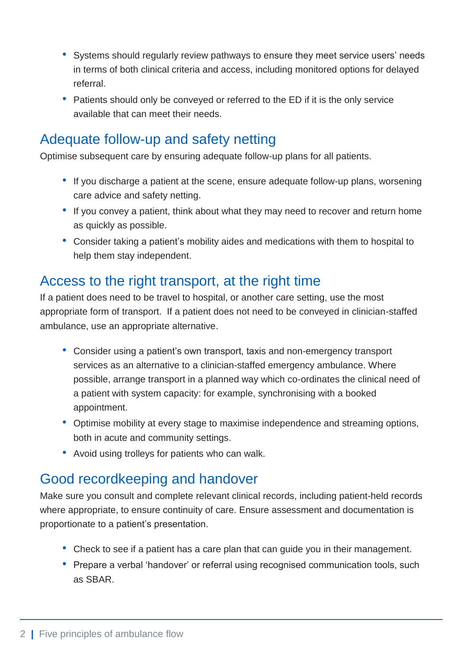- Systems should regularly review pathways to ensure they meet service users' needs in terms of both clinical criteria and access, including monitored options for delayed referral.
- Patients should only be conveyed or referred to the ED if it is the only service available that can meet their needs.

## Adequate follow-up and safety netting

Optimise subsequent care by ensuring adequate follow-up plans for all patients.

- If you discharge a patient at the scene, ensure adequate follow-up plans, worsening care advice and safety netting.
- If you convey a patient, think about what they may need to recover and return home as quickly as possible.
- Consider taking a patient's mobility aides and medications with them to hospital to help them stay independent.

## Access to the right transport, at the right time

If a patient does need to be travel to hospital, or another care setting, use the most appropriate form of transport. If a patient does not need to be conveyed in clinician-staffed ambulance, use an appropriate alternative.

- Consider using a patient's own transport, taxis and non-emergency transport services as an alternative to a clinician-staffed emergency ambulance. Where possible, arrange transport in a planned way which co-ordinates the clinical need of a patient with system capacity: for example, synchronising with a booked appointment.
- Optimise mobility at every stage to maximise independence and streaming options, both in acute and community settings.
- Avoid using trolleys for patients who can walk.

## Good recordkeeping and handover

Make sure you consult and complete relevant clinical records, including patient-held records where appropriate, to ensure continuity of care. Ensure assessment and documentation is proportionate to a patient's presentation.

- Check to see if a patient has a care plan that can guide you in their management.
- Prepare a verbal 'handover' or referral using recognised communication tools, such as SBAR.